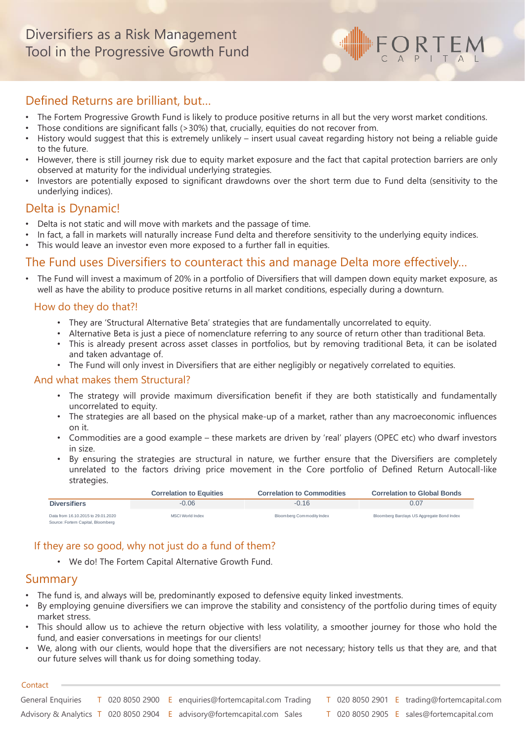# Defined Returns are brilliant, but…

- The Fortem Progressive Growth Fund is likely to produce positive returns in all but the very worst market conditions.
- Those conditions are significant falls (>30%) that, crucially, equities do not recover from.
- History would suggest that this is extremely unlikely insert usual caveat regarding history not being a reliable guide to the future.

 $\bigcirc$ <sub>A</sub>RTEM

- However, there is still journey risk due to equity market exposure and the fact that capital protection barriers are only observed at maturity for the individual underlying strategies.
- Investors are potentially exposed to significant drawdowns over the short term due to Fund delta (sensitivity to the underlying indices).

### Delta is Dynamic!

- Delta is not static and will move with markets and the passage of time.
- In fact, a fall in markets will naturally increase Fund delta and therefore sensitivity to the underlying equity indices.
- This would leave an investor even more exposed to a further fall in equities.

## The Fund uses Diversifiers to counteract this and manage Delta more effectively…

• The Fund will invest a maximum of 20% in a portfolio of Diversifiers that will dampen down equity market exposure, as well as have the ability to produce positive returns in all market conditions, especially during a downturn.

### How do they do that?!

- They are 'Structural Alternative Beta' strategies that are fundamentally uncorrelated to equity.
- Alternative Beta is just a piece of nomenclature referring to any source of return other than traditional Beta.
- This is already present across asset classes in portfolios, but by removing traditional Beta, it can be isolated and taken advantage of.
- The Fund will only invest in Diversifiers that are either negligibly or negatively correlated to equities.

#### And what makes them Structural?

- The strategy will provide maximum diversification benefit if they are both statistically and fundamentally uncorrelated to equity.
- The strategies are all based on the physical make-up of a market, rather than any macroeconomic influences on it.
- Commodities are a good example these markets are driven by 'real' players (OPEC etc) who dwarf investors in size.
- By ensuring the strategies are structural in nature, we further ensure that the Diversifiers are completely unrelated to the factors driving price movement in the Core portfolio of Defined Return Autocall-like strategies.

|                                                                         | <b>Correlation to Equities</b> | <b>Correlation to Commodities</b> | <b>Correlation to Global Bonds</b>         |  |  |
|-------------------------------------------------------------------------|--------------------------------|-----------------------------------|--------------------------------------------|--|--|
| <b>Diversifiers</b>                                                     | $-0.06$                        | $-0.16$                           | 0.07                                       |  |  |
| Data from 16.10.2015 to 29.01.2020<br>Source: Fortem Capital, Bloomberg | MSCI World Index               | Bloomberg Commodity Index         | Bloomberg Barclays US Aggregate Bond Index |  |  |

### If they are so good, why not just do a fund of them?

• We do! The Fortem Capital Alternative Growth Fund.

## Summary

- The fund is, and always will be, predominantly exposed to defensive equity linked investments.
- By employing genuine diversifiers we can improve the stability and consistency of the portfolio during times of equity market stress.
- This should allow us to achieve the return objective with less volatility, a smoother journey for those who hold the fund, and easier conversations in meetings for our clients!
- We, along with our clients, would hope that the diversifiers are not necessary; history tells us that they are, and that our future selves will thank us for doing something today.

#### **Contact**

| General Enguiries |  | $\overline{1}$ 020 8050 2900 <b>E</b> enquiries@fortemcapital.com Trading <b>T</b> 020 8050 2901 <b>E</b> trading@fortemcapital.com |  |  |                                           |
|-------------------|--|-------------------------------------------------------------------------------------------------------------------------------------|--|--|-------------------------------------------|
|                   |  | Advisory & Analytics T 020 8050 2904 E advisory@fortemcapital.com Sales                                                             |  |  | T 020 8050 2905 E sales@fortemcapital.com |